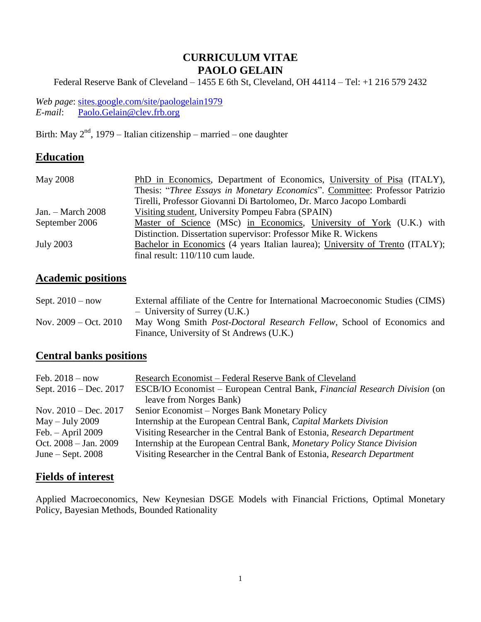## **CURRICULUM VITAE PAOLO GELAIN**

Federal Reserve Bank of Cleveland – 1455 E 6th St, Cleveland, OH 44114 – Tel: +1 216 579 2432

*Web page*: [sites.google.com/site/paologelain1979](http://www.sites.google.com/site/paologelain1979) *E-mail*: [Paolo.Gelain@clev.frb.org](mailto:Paolo.Gelain@clev.frb.org)

Birth: May  $2<sup>nd</sup>$ , 1979 – Italian citizenship – married – one daughter

## **Education**

| May 2008            | PhD in Economics, Department of Economics, University of Pisa (ITALY),        |
|---------------------|-------------------------------------------------------------------------------|
|                     | Thesis: "Three Essays in Monetary Economics". Committee: Professor Patrizio   |
|                     | Tirelli, Professor Giovanni Di Bartolomeo, Dr. Marco Jacopo Lombardi          |
| Jan. $-$ March 2008 | Visiting student, University Pompeu Fabra (SPAIN)                             |
| September 2006      | Master of Science (MSc) in Economics, University of York (U.K.) with          |
|                     | Distinction. Dissertation supervisor: Professor Mike R. Wickens               |
| <b>July 2003</b>    | Bachelor in Economics (4 years Italian laurea); University of Trento (ITALY); |
|                     | final result: 110/110 cum laude.                                              |

## **Academic positions**

| Sept. $2010 - now$      | External affiliate of the Centre for International Macroeconomic Studies (CIMS) |
|-------------------------|---------------------------------------------------------------------------------|
|                         | - University of Surrey (U.K.)                                                   |
| Nov. $2009 - Oct. 2010$ | May Wong Smith Post-Doctoral Research Fellow, School of Economics and           |
|                         | Finance, University of St Andrews (U.K.)                                        |

## **Central banks positions**

| Feb. $2018 - now$       | Research Economist - Federal Reserve Bank of Cleveland                            |
|-------------------------|-----------------------------------------------------------------------------------|
| Sept. 2016 – Dec. 2017  | ESCB/IO Economist – European Central Bank, <i>Financial Research Division</i> (on |
|                         | leave from Norges Bank)                                                           |
| Nov. $2010 - Dec. 2017$ | Senior Economist – Norges Bank Monetary Policy                                    |
| $May - July 2009$       | Internship at the European Central Bank, Capital Markets Division                 |
| Feb. $-$ April 2009     | Visiting Researcher in the Central Bank of Estonia, Research Department           |
| Oct. $2008 - Jan. 2009$ | Internship at the European Central Bank, Monetary Policy Stance Division          |
| June $-$ Sept. 2008     | Visiting Researcher in the Central Bank of Estonia, Research Department           |

#### **Fields of interest**

Applied Macroeconomics, New Keynesian DSGE Models with Financial Frictions, Optimal Monetary Policy, Bayesian Methods, Bounded Rationality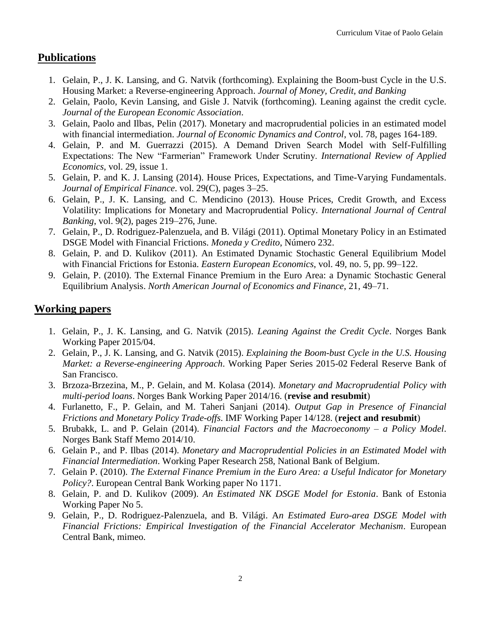#### **Publications**

- 1. Gelain, P., J. K. Lansing, and G. Natvik (forthcoming). Explaining the Boom-bust Cycle in the U.S. Housing Market: a Reverse-engineering Approach. *Journal of Money, Credit, and Banking*
- 2. Gelain, Paolo, Kevin Lansing, and Gisle J. Natvik (forthcoming). Leaning against the credit cycle. *Journal of the European Economic Association*.
- 3. Gelain, Paolo and Ilbas, Pelin (2017). [Monetary and macroprudential policies in an estimated model](http://www.sciencedirect.com/science/article/pii/S0165188917300180)  [with financial intermediation.](http://www.sciencedirect.com/science/article/pii/S0165188917300180) *Journal of Economic Dynamics and Control*, vol. 78, pages 164-189.
- 4. Gelain, P. and M. Guerrazzi (2015). A Demand Driven Search Model with Self-Fulfilling Expectations: The New "Farmerian" Framework Under Scrutiny. *International Review of Applied Economics*, vol. 29, issue 1.
- 5. Gelain, P. and K. J. Lansing (2014). House Prices, Expectations, and Time-Varying Fundamentals. *Journal of Empirical Finance*. vol. 29(C), pages 3–25.
- 6. Gelain, P., J. K. Lansing, and C. Mendicino (2013). House Prices, Credit Growth, and Excess Volatility: Implications for Monetary and Macroprudential Policy. *International Journal of Central Banking*, vol. 9(2), pages 219–276, June.
- 7. Gelain, P., D. Rodriguez-Palenzuela, and B. Világi (2011). Optimal Monetary Policy in an Estimated DSGE Model with Financial Frictions. *Moneda y Credito*, Número 232.
- 8. Gelain, P. and D. Kulikov (2011). [An](http://sites.google.com/site/paologelain1979/home/goog_1028178317) [Estimated Dynamic Stochastic General Equilibrium Model](http://sites.google.com/site/paologelain1979/home/goog_1028178317)  [with Financial Frictions for Estonia.](http://www.mesharpe.com/mall/results1.asp?ACR=eee) *Eastern European Economics*, vol. 49, no. 5, pp. 99–122.
- 9. Gelain, P. (2010). [The External Finance Premium in the Euro Area: a Dynamic Stochastic General](http://www.sciencedirect.com/science?_ob=ArticleURL&_udi=B6W5T-4XY9DPC-1&_user=1026342&_coverDate=03%2F31%2F2010&_rdoc=6&_fmt=high&_orig=browse&_srch=doc-info%28%23toc%236579%232010%23999789998%231783334%23FLA%23display%23Volume%29&_cdi=6579&_sort=d&_docan)  [Equilibrium Analysis.](http://www.sciencedirect.com/science?_ob=ArticleURL&_udi=B6W5T-4XY9DPC-1&_user=1026342&_coverDate=03%2F31%2F2010&_rdoc=6&_fmt=high&_orig=browse&_srch=doc-info%28%23toc%236579%232010%23999789998%231783334%23FLA%23display%23Volume%29&_cdi=6579&_sort=d&_docan) *North American Journal of Economics and Finance*, 21, 49–71.

#### **Working papers**

- 1. Gelain, P., J. K. Lansing, and G. Natvik (2015). *Leaning Against the Credit Cycle*. Norges Bank Working Paper 2015/04.
- 2. Gelain, P., J. K. Lansing, and G. Natvik (2015). *Explaining the Boom-bust Cycle in the U.S. Housing Market: a Reverse-engineering Approach*. Working Paper Series 2015-02 Federal Reserve Bank of San Francisco.
- 3. Brzoza-Brzezina, M., P. Gelain, and M. Kolasa (2014). *Monetary and Macroprudential Policy with multi-period loans*. Norges Bank Working Paper 2014/16. (**revise and resubmit**)
- 4. Furlanetto, F., P. Gelain, and M. Taheri Sanjani (2014). *Output Gap in Presence of Financial Frictions and Monetary Policy Trade-offs*. IMF Working Paper 14/128. (**reject and resubmit**)
- 5. Brubakk, L. and P. Gelain (2014). *Financial Factors and the Macroeconomy – a Policy Model*. Norges Bank Staff Memo 2014/10.
- 6. Gelain P., and P. Ilbas (2014). *Monetary and Macroprudential Policies in an Estimated Model with Financial Intermediation*. Working Paper Research 258, National Bank of Belgium.
- 7. Gelain P. (2010). *The External Finance Premium in the Euro Area: a Useful Indicator for Monetary Policy?*. European Central Bank Working paper No 1171.
- 8. Gelain, P. and D. Kulikov (2009). *An Estimated NK DSGE Model for Estonia*. Bank of Estonia Working Paper No 5.
- 9. Gelain, P., D. Rodriguez-Palenzuela, and B. Világi. A*n Estimated Euro-area DSGE Model with Financial Frictions: Empirical Investigation of the Financial Accelerator Mechanism*. European Central Bank, mimeo.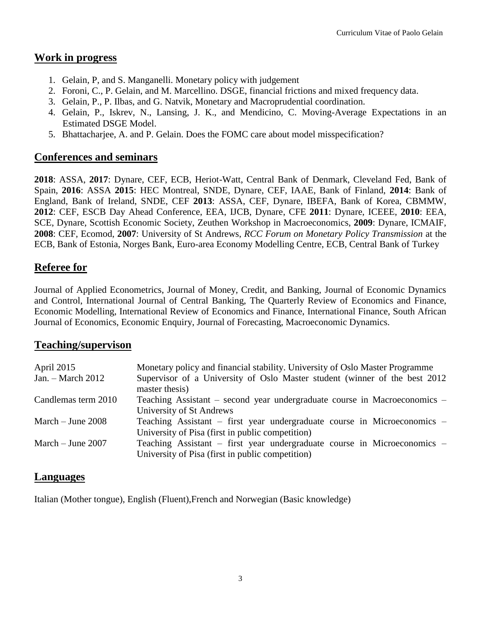#### **Work in progress**

- 1. Gelain, P, and S. Manganelli. Monetary policy with judgement
- 2. Foroni, C., P. Gelain, and M. Marcellino. DSGE, financial frictions and mixed frequency data.
- 3. Gelain, P., P. Ilbas, and G. Natvik, Monetary and Macroprudential coordination.
- 4. Gelain, P., Iskrev, N., Lansing, J. K., and Mendicino, C. Moving-Average Expectations in an Estimated DSGE Model.
- 5. Bhattacharjee, A. and P. Gelain. Does the FOMC care about model misspecification?

## **Conferences and seminars**

**2018**: ASSA, **2017**: Dynare, CEF, ECB, Heriot-Watt, Central Bank of Denmark, Cleveland Fed, Bank of Spain, **2016**: ASSA **2015**: HEC Montreal, SNDE, Dynare, CEF, IAAE, Bank of Finland, **2014**: Bank of England, Bank of Ireland, SNDE, CEF **2013**: ASSA, CEF, Dynare, IBEFA, Bank of Korea, CBMMW, **2012**: CEF, ESCB Day Ahead Conference, EEA, IJCB, Dynare, CFE **2011**: Dynare, ICEEE, **2010**: EEA, SCE, Dynare, Scottish Economic Society, Zeuthen Workshop in Macroeconomics, **2009**: Dynare, ICMAIF, **2008**: CEF, Ecomod, **2007**: University of St Andrews, *RCC Forum on Monetary Policy Transmission* at the ECB, Bank of Estonia, Norges Bank, Euro-area Economy Modelling Centre, ECB, Central Bank of Turkey

## **Referee for**

Journal of Applied Econometrics, Journal of Money, Credit, and Banking, Journal of Economic Dynamics and Control, International Journal of Central Banking, The Quarterly Review of Economics and Finance, Economic Modelling, International Review of Economics and Finance, International Finance, South African Journal of Economics, Economic Enquiry, Journal of Forecasting, Macroeconomic Dynamics.

#### **Teaching/supervison**

| April 2015          | Monetary policy and financial stability. University of Oslo Master Programme                                                 |
|---------------------|------------------------------------------------------------------------------------------------------------------------------|
| Jan. – March 2012   | Supervisor of a University of Oslo Master student (winner of the best 2012)<br>master thesis)                                |
| Candlemas term 2010 | Teaching Assistant – second year undergraduate course in Macroeconomics –<br>University of St Andrews                        |
| March $-$ June 2008 | Teaching Assistant – first year undergraduate course in Microeconomics –<br>University of Pisa (first in public competition) |
| March $-$ June 2007 | Teaching Assistant – first year undergraduate course in Microeconomics –<br>University of Pisa (first in public competition) |

#### **Languages**

Italian (Mother tongue), English (Fluent),French and Norwegian (Basic knowledge)